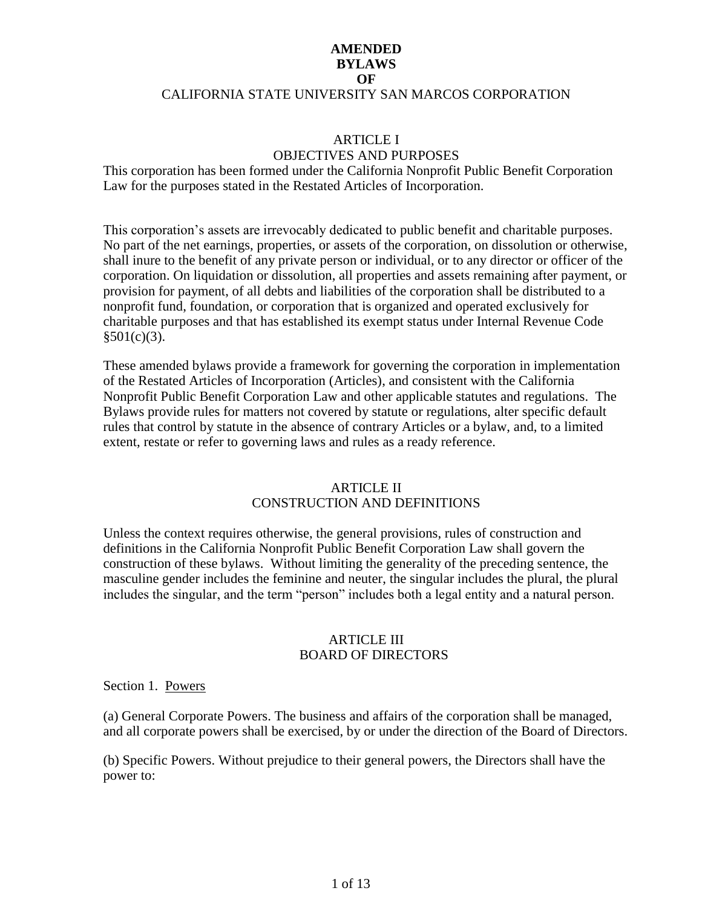# **AMENDED BYLAWS OF** CALIFORNIA STATE UNIVERSITY SAN MARCOS CORPORATION

## ARTICLE I OBJECTIVES AND PURPOSES

This corporation has been formed under the California Nonprofit Public Benefit Corporation Law for the purposes stated in the Restated Articles of Incorporation.

This corporation's assets are irrevocably dedicated to public benefit and charitable purposes. No part of the net earnings, properties, or assets of the corporation, on dissolution or otherwise, shall inure to the benefit of any private person or individual, or to any director or officer of the corporation. On liquidation or dissolution, all properties and assets remaining after payment, or provision for payment, of all debts and liabilities of the corporation shall be distributed to a nonprofit fund, foundation, or corporation that is organized and operated exclusively for charitable purposes and that has established its exempt status under Internal Revenue Code  $§501(c)(3)$ .

These amended bylaws provide a framework for governing the corporation in implementation of the Restated Articles of Incorporation (Articles), and consistent with the California Nonprofit Public Benefit Corporation Law and other applicable statutes and regulations. The Bylaws provide rules for matters not covered by statute or regulations, alter specific default rules that control by statute in the absence of contrary Articles or a bylaw, and, to a limited extent, restate or refer to governing laws and rules as a ready reference.

# ARTICLE II

# CONSTRUCTION AND DEFINITIONS

Unless the context requires otherwise, the general provisions, rules of construction and definitions in the California Nonprofit Public Benefit Corporation Law shall govern the construction of these bylaws. Without limiting the generality of the preceding sentence, the masculine gender includes the feminine and neuter, the singular includes the plural, the plural includes the singular, and the term "person" includes both a legal entity and a natural person.

### ARTICLE III BOARD OF DIRECTORS

Section 1. Powers

(a) General Corporate Powers. The business and affairs of the corporation shall be managed, and all corporate powers shall be exercised, by or under the direction of the Board of Directors.

(b) Specific Powers. Without prejudice to their general powers, the Directors shall have the power to: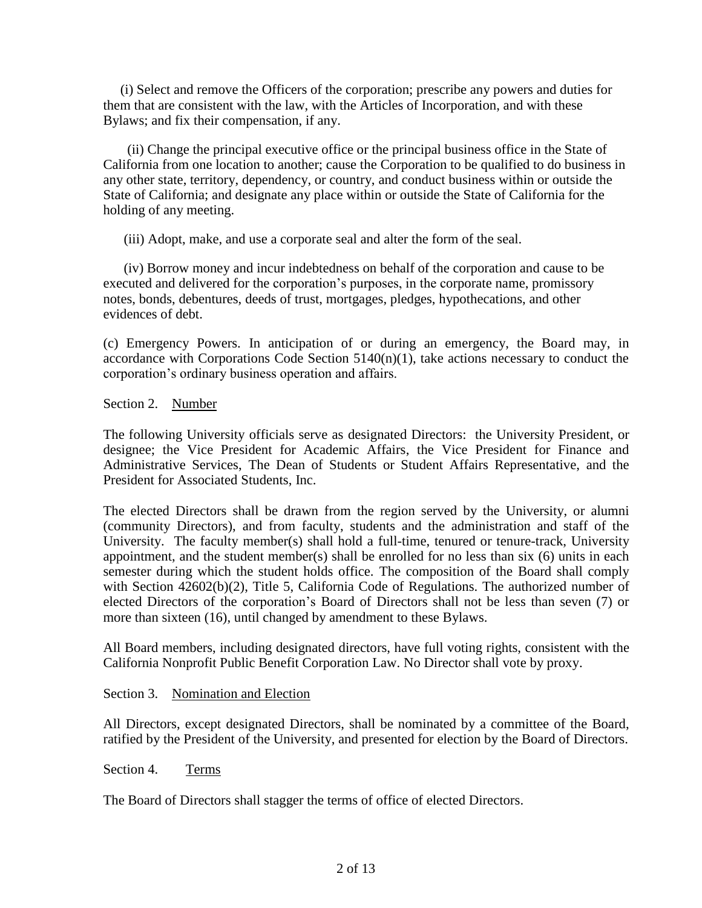(i) Select and remove the Officers of the corporation; prescribe any powers and duties for them that are consistent with the law, with the Articles of Incorporation, and with these Bylaws; and fix their compensation, if any.

 (ii) Change the principal executive office or the principal business office in the State of California from one location to another; cause the Corporation to be qualified to do business in any other state, territory, dependency, or country, and conduct business within or outside the State of California; and designate any place within or outside the State of California for the holding of any meeting.

(iii) Adopt, make, and use a corporate seal and alter the form of the seal.

 (iv) Borrow money and incur indebtedness on behalf of the corporation and cause to be executed and delivered for the corporation's purposes, in the corporate name, promissory notes, bonds, debentures, deeds of trust, mortgages, pledges, hypothecations, and other evidences of debt.

(c) Emergency Powers. In anticipation of or during an emergency, the Board may, in accordance with Corporations Code Section  $5140(n)(1)$ , take actions necessary to conduct the corporation's ordinary business operation and affairs.

Section 2. Number

The following University officials serve as designated Directors: the University President, or designee; the Vice President for Academic Affairs, the Vice President for Finance and Administrative Services, The Dean of Students or Student Affairs Representative, and the President for Associated Students, Inc.

The elected Directors shall be drawn from the region served by the University, or alumni (community Directors), and from faculty, students and the administration and staff of the University. The faculty member(s) shall hold a full-time, tenured or tenure-track, University appointment, and the student member(s) shall be enrolled for no less than  $six(6)$  units in each semester during which the student holds office. The composition of the Board shall comply with Section 42602(b)(2), Title 5, California Code of Regulations. The authorized number of elected Directors of the corporation's Board of Directors shall not be less than seven (7) or more than sixteen (16), until changed by amendment to these Bylaws.

All Board members, including designated directors, have full voting rights, consistent with the California Nonprofit Public Benefit Corporation Law. No Director shall vote by proxy.

#### Section 3. Nomination and Election

All Directors, except designated Directors, shall be nominated by a committee of the Board, ratified by the President of the University, and presented for election by the Board of Directors.

Section 4. Terms

The Board of Directors shall stagger the terms of office of elected Directors.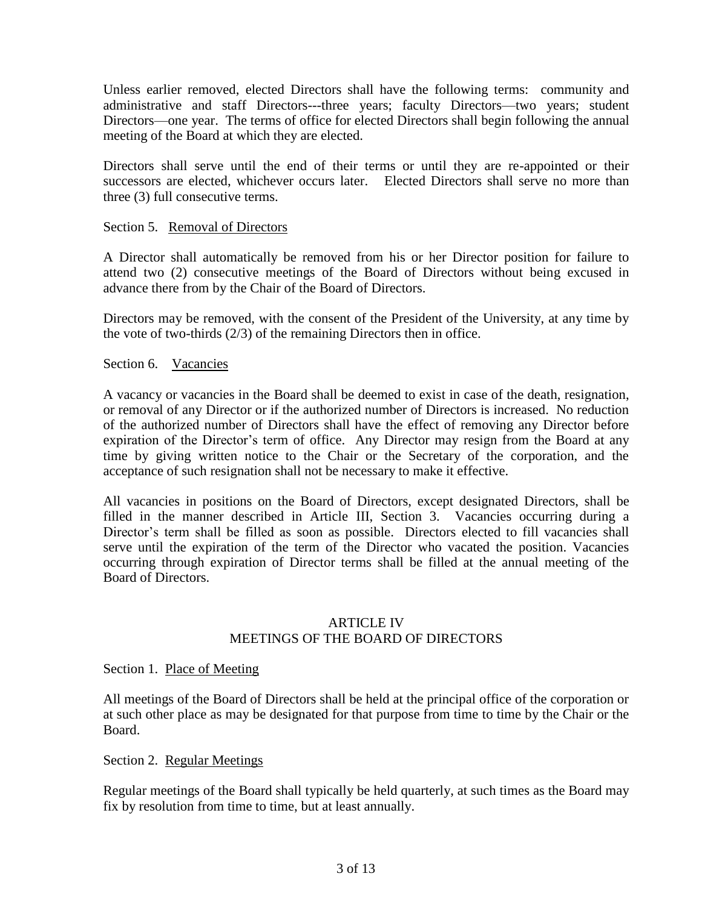Unless earlier removed, elected Directors shall have the following terms: community and administrative and staff Directors---three years; faculty Directors—two years; student Directors—one year. The terms of office for elected Directors shall begin following the annual meeting of the Board at which they are elected.

Directors shall serve until the end of their terms or until they are re-appointed or their successors are elected, whichever occurs later. Elected Directors shall serve no more than three (3) full consecutive terms.

### Section 5. Removal of Directors

A Director shall automatically be removed from his or her Director position for failure to attend two (2) consecutive meetings of the Board of Directors without being excused in advance there from by the Chair of the Board of Directors.

Directors may be removed, with the consent of the President of the University, at any time by the vote of two-thirds (2/3) of the remaining Directors then in office.

### Section 6. Vacancies

A vacancy or vacancies in the Board shall be deemed to exist in case of the death, resignation, or removal of any Director or if the authorized number of Directors is increased. No reduction of the authorized number of Directors shall have the effect of removing any Director before expiration of the Director's term of office. Any Director may resign from the Board at any time by giving written notice to the Chair or the Secretary of the corporation, and the acceptance of such resignation shall not be necessary to make it effective.

All vacancies in positions on the Board of Directors, except designated Directors, shall be filled in the manner described in Article III, Section 3. Vacancies occurring during a Director's term shall be filled as soon as possible. Directors elected to fill vacancies shall serve until the expiration of the term of the Director who vacated the position. Vacancies occurring through expiration of Director terms shall be filled at the annual meeting of the Board of Directors.

#### ARTICLE IV MEETINGS OF THE BOARD OF DIRECTORS

#### Section 1. Place of Meeting

All meetings of the Board of Directors shall be held at the principal office of the corporation or at such other place as may be designated for that purpose from time to time by the Chair or the Board.

#### Section 2. Regular Meetings

Regular meetings of the Board shall typically be held quarterly, at such times as the Board may fix by resolution from time to time, but at least annually.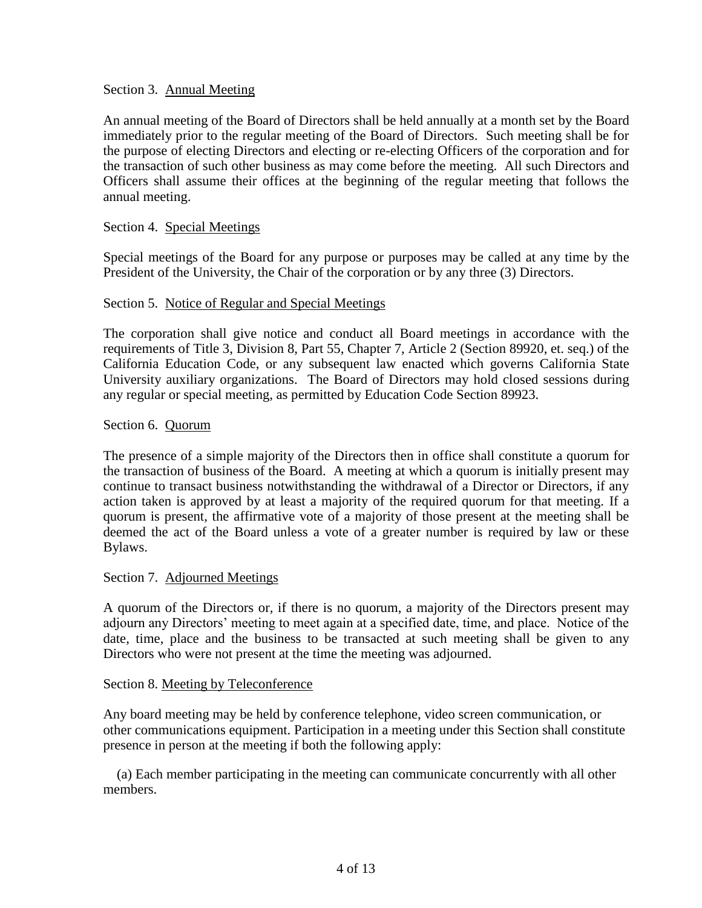### Section 3. Annual Meeting

An annual meeting of the Board of Directors shall be held annually at a month set by the Board immediately prior to the regular meeting of the Board of Directors. Such meeting shall be for the purpose of electing Directors and electing or re-electing Officers of the corporation and for the transaction of such other business as may come before the meeting. All such Directors and Officers shall assume their offices at the beginning of the regular meeting that follows the annual meeting.

### Section 4. Special Meetings

Special meetings of the Board for any purpose or purposes may be called at any time by the President of the University, the Chair of the corporation or by any three (3) Directors.

### Section 5. Notice of Regular and Special Meetings

The corporation shall give notice and conduct all Board meetings in accordance with the requirements of Title 3, Division 8, Part 55, Chapter 7, Article 2 (Section 89920, et. seq.) of the California Education Code, or any subsequent law enacted which governs California State University auxiliary organizations. The Board of Directors may hold closed sessions during any regular or special meeting, as permitted by Education Code Section 89923.

### Section 6. Quorum

The presence of a simple majority of the Directors then in office shall constitute a quorum for the transaction of business of the Board. A meeting at which a quorum is initially present may continue to transact business notwithstanding the withdrawal of a Director or Directors, if any action taken is approved by at least a majority of the required quorum for that meeting. If a quorum is present, the affirmative vote of a majority of those present at the meeting shall be deemed the act of the Board unless a vote of a greater number is required by law or these Bylaws.

#### Section 7. Adjourned Meetings

A quorum of the Directors or, if there is no quorum, a majority of the Directors present may adjourn any Directors' meeting to meet again at a specified date, time, and place. Notice of the date, time, place and the business to be transacted at such meeting shall be given to any Directors who were not present at the time the meeting was adjourned.

#### Section 8. Meeting by Teleconference

Any board meeting may be held by conference telephone, video screen communication, or other communications equipment. Participation in a meeting under this Section shall constitute presence in person at the meeting if both the following apply:

(a) Each member participating in the meeting can communicate concurrently with all other members.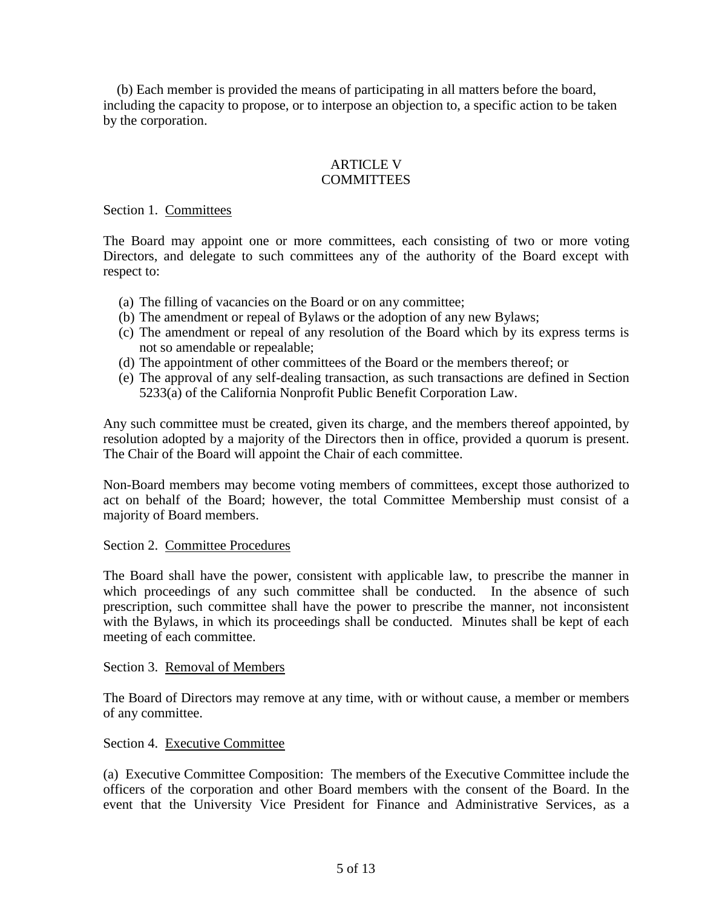(b) Each member is provided the means of participating in all matters before the board, including the capacity to propose, or to interpose an objection to, a specific action to be taken by the corporation.

## ARTICLE V **COMMITTEES**

Section 1. Committees

The Board may appoint one or more committees, each consisting of two or more voting Directors, and delegate to such committees any of the authority of the Board except with respect to:

- (a) The filling of vacancies on the Board or on any committee;
- (b) The amendment or repeal of Bylaws or the adoption of any new Bylaws;
- (c) The amendment or repeal of any resolution of the Board which by its express terms is not so amendable or repealable;
- (d) The appointment of other committees of the Board or the members thereof; or
- (e) The approval of any self-dealing transaction, as such transactions are defined in Section 5233(a) of the California Nonprofit Public Benefit Corporation Law.

Any such committee must be created, given its charge, and the members thereof appointed, by resolution adopted by a majority of the Directors then in office, provided a quorum is present. The Chair of the Board will appoint the Chair of each committee.

Non-Board members may become voting members of committees, except those authorized to act on behalf of the Board; however, the total Committee Membership must consist of a majority of Board members.

## Section 2. Committee Procedures

The Board shall have the power, consistent with applicable law, to prescribe the manner in which proceedings of any such committee shall be conducted. In the absence of such prescription, such committee shall have the power to prescribe the manner, not inconsistent with the Bylaws, in which its proceedings shall be conducted. Minutes shall be kept of each meeting of each committee.

#### Section 3. Removal of Members

The Board of Directors may remove at any time, with or without cause, a member or members of any committee.

## Section 4. Executive Committee

(a) Executive Committee Composition: The members of the Executive Committee include the officers of the corporation and other Board members with the consent of the Board. In the event that the University Vice President for Finance and Administrative Services, as a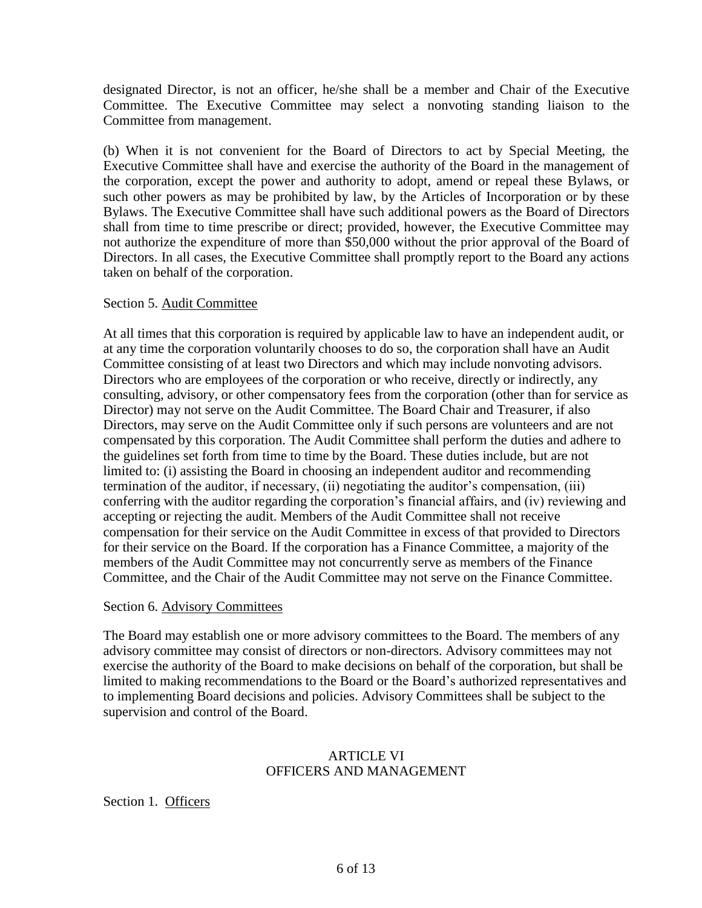designated Director, is not an officer, he/she shall be a member and Chair of the Executive Committee. The Executive Committee may select a nonvoting standing liaison to the Committee from management.

(b) When it is not convenient for the Board of Directors to act by Special Meeting, the Executive Committee shall have and exercise the authority of the Board in the management of the corporation, except the power and authority to adopt, amend or repeal these Bylaws, or such other powers as may be prohibited by law, by the Articles of Incorporation or by these Bylaws. The Executive Committee shall have such additional powers as the Board of Directors shall from time to time prescribe or direct; provided, however, the Executive Committee may not authorize the expenditure of more than \$50,000 without the prior approval of the Board of Directors. In all cases, the Executive Committee shall promptly report to the Board any actions taken on behalf of the corporation.

## Section 5. Audit Committee

At all times that this corporation is required by applicable law to have an independent audit, or at any time the corporation voluntarily chooses to do so, the corporation shall have an Audit Committee consisting of at least two Directors and which may include nonvoting advisors. Directors who are employees of the corporation or who receive, directly or indirectly, any consulting, advisory, or other compensatory fees from the corporation (other than for service as Director) may not serve on the Audit Committee. The Board Chair and Treasurer, if also Directors, may serve on the Audit Committee only if such persons are volunteers and are not compensated by this corporation. The Audit Committee shall perform the duties and adhere to the guidelines set forth from time to time by the Board. These duties include, but are not limited to: (i) assisting the Board in choosing an independent auditor and recommending termination of the auditor, if necessary, (ii) negotiating the auditor's compensation, (iii) conferring with the auditor regarding the corporation's financial affairs, and (iv) reviewing and accepting or rejecting the audit. Members of the Audit Committee shall not receive compensation for their service on the Audit Committee in excess of that provided to Directors for their service on the Board. If the corporation has a Finance Committee, a majority of the members of the Audit Committee may not concurrently serve as members of the Finance Committee, and the Chair of the Audit Committee may not serve on the Finance Committee.

## Section 6. Advisory Committees

The Board may establish one or more advisory committees to the Board. The members of any advisory committee may consist of directors or non-directors. Advisory committees may not exercise the authority of the Board to make decisions on behalf of the corporation, but shall be limited to making recommendations to the Board or the Board's authorized representatives and to implementing Board decisions and policies. Advisory Committees shall be subject to the supervision and control of the Board.

### ARTICLE VI OFFICERS AND MANAGEMENT

## Section 1. Officers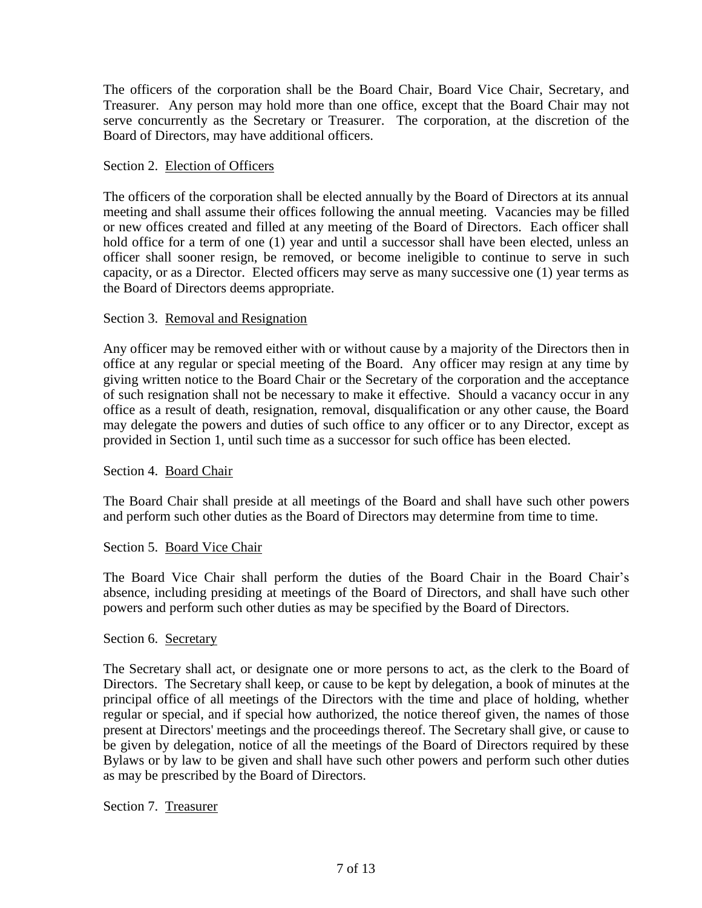The officers of the corporation shall be the Board Chair, Board Vice Chair, Secretary, and Treasurer. Any person may hold more than one office, except that the Board Chair may not serve concurrently as the Secretary or Treasurer. The corporation, at the discretion of the Board of Directors, may have additional officers.

### Section 2. Election of Officers

The officers of the corporation shall be elected annually by the Board of Directors at its annual meeting and shall assume their offices following the annual meeting. Vacancies may be filled or new offices created and filled at any meeting of the Board of Directors. Each officer shall hold office for a term of one (1) year and until a successor shall have been elected, unless an officer shall sooner resign, be removed, or become ineligible to continue to serve in such capacity, or as a Director. Elected officers may serve as many successive one (1) year terms as the Board of Directors deems appropriate.

### Section 3. <u>Removal and Resignation</u>

Any officer may be removed either with or without cause by a majority of the Directors then in office at any regular or special meeting of the Board. Any officer may resign at any time by giving written notice to the Board Chair or the Secretary of the corporation and the acceptance of such resignation shall not be necessary to make it effective. Should a vacancy occur in any office as a result of death, resignation, removal, disqualification or any other cause, the Board may delegate the powers and duties of such office to any officer or to any Director, except as provided in Section 1, until such time as a successor for such office has been elected.

## Section 4. Board Chair

The Board Chair shall preside at all meetings of the Board and shall have such other powers and perform such other duties as the Board of Directors may determine from time to time.

## Section 5. Board Vice Chair

The Board Vice Chair shall perform the duties of the Board Chair in the Board Chair's absence, including presiding at meetings of the Board of Directors, and shall have such other powers and perform such other duties as may be specified by the Board of Directors.

#### Section 6. Secretary

The Secretary shall act, or designate one or more persons to act, as the clerk to the Board of Directors. The Secretary shall keep, or cause to be kept by delegation, a book of minutes at the principal office of all meetings of the Directors with the time and place of holding, whether regular or special, and if special how authorized, the notice thereof given, the names of those present at Directors' meetings and the proceedings thereof. The Secretary shall give, or cause to be given by delegation, notice of all the meetings of the Board of Directors required by these Bylaws or by law to be given and shall have such other powers and perform such other duties as may be prescribed by the Board of Directors.

#### Section 7. Treasurer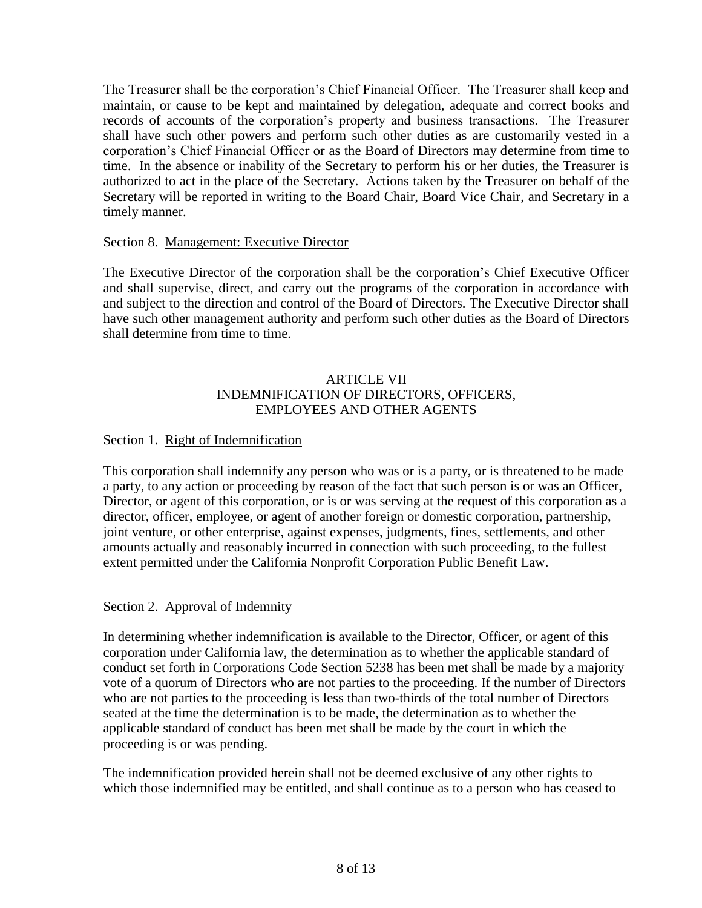The Treasurer shall be the corporation's Chief Financial Officer. The Treasurer shall keep and maintain, or cause to be kept and maintained by delegation, adequate and correct books and records of accounts of the corporation's property and business transactions. The Treasurer shall have such other powers and perform such other duties as are customarily vested in a corporation's Chief Financial Officer or as the Board of Directors may determine from time to time. In the absence or inability of the Secretary to perform his or her duties, the Treasurer is authorized to act in the place of the Secretary. Actions taken by the Treasurer on behalf of the Secretary will be reported in writing to the Board Chair, Board Vice Chair, and Secretary in a timely manner.

## Section 8. Management: Executive Director

The Executive Director of the corporation shall be the corporation's Chief Executive Officer and shall supervise, direct, and carry out the programs of the corporation in accordance with and subject to the direction and control of the Board of Directors. The Executive Director shall have such other management authority and perform such other duties as the Board of Directors shall determine from time to time.

## ARTICLE VII INDEMNIFICATION OF DIRECTORS, OFFICERS, EMPLOYEES AND OTHER AGENTS

### Section 1. Right of Indemnification

This corporation shall indemnify any person who was or is a party, or is threatened to be made a party, to any action or proceeding by reason of the fact that such person is or was an Officer, Director, or agent of this corporation, or is or was serving at the request of this corporation as a director, officer, employee, or agent of another foreign or domestic corporation, partnership, joint venture, or other enterprise, against expenses, judgments, fines, settlements, and other amounts actually and reasonably incurred in connection with such proceeding, to the fullest extent permitted under the California Nonprofit Corporation Public Benefit Law.

#### Section 2. Approval of Indemnity

In determining whether indemnification is available to the Director, Officer, or agent of this corporation under California law, the determination as to whether the applicable standard of conduct set forth in Corporations Code Section 5238 has been met shall be made by a majority vote of a quorum of Directors who are not parties to the proceeding. If the number of Directors who are not parties to the proceeding is less than two-thirds of the total number of Directors seated at the time the determination is to be made, the determination as to whether the applicable standard of conduct has been met shall be made by the court in which the proceeding is or was pending.

The indemnification provided herein shall not be deemed exclusive of any other rights to which those indemnified may be entitled, and shall continue as to a person who has ceased to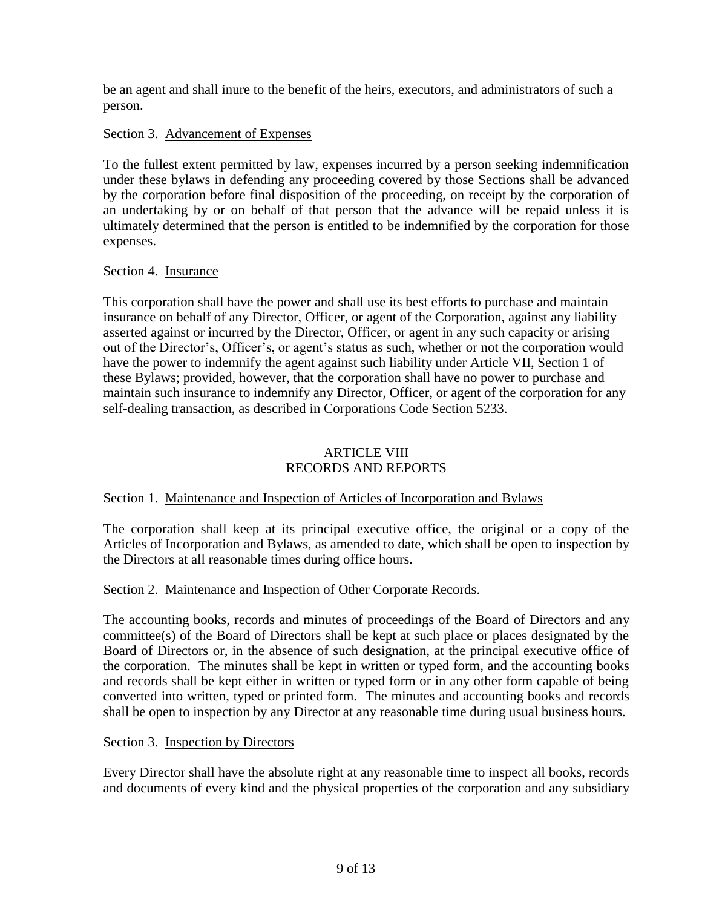be an agent and shall inure to the benefit of the heirs, executors, and administrators of such a person.

# Section 3. Advancement of Expenses

To the fullest extent permitted by law, expenses incurred by a person seeking indemnification under these bylaws in defending any proceeding covered by those Sections shall be advanced by the corporation before final disposition of the proceeding, on receipt by the corporation of an undertaking by or on behalf of that person that the advance will be repaid unless it is ultimately determined that the person is entitled to be indemnified by the corporation for those expenses.

# Section 4. Insurance

This corporation shall have the power and shall use its best efforts to purchase and maintain insurance on behalf of any Director, Officer, or agent of the Corporation, against any liability asserted against or incurred by the Director, Officer, or agent in any such capacity or arising out of the Director's, Officer's, or agent's status as such, whether or not the corporation would have the power to indemnify the agent against such liability under Article VII, Section 1 of these Bylaws; provided, however, that the corporation shall have no power to purchase and maintain such insurance to indemnify any Director, Officer, or agent of the corporation for any self-dealing transaction, as described in Corporations Code Section 5233.

# ARTICLE VIII RECORDS AND REPORTS

# Section 1. Maintenance and Inspection of Articles of Incorporation and Bylaws

The corporation shall keep at its principal executive office, the original or a copy of the Articles of Incorporation and Bylaws, as amended to date, which shall be open to inspection by the Directors at all reasonable times during office hours.

# Section 2. Maintenance and Inspection of Other Corporate Records.

The accounting books, records and minutes of proceedings of the Board of Directors and any committee(s) of the Board of Directors shall be kept at such place or places designated by the Board of Directors or, in the absence of such designation, at the principal executive office of the corporation. The minutes shall be kept in written or typed form, and the accounting books and records shall be kept either in written or typed form or in any other form capable of being converted into written, typed or printed form. The minutes and accounting books and records shall be open to inspection by any Director at any reasonable time during usual business hours.

# Section 3. Inspection by Directors

Every Director shall have the absolute right at any reasonable time to inspect all books, records and documents of every kind and the physical properties of the corporation and any subsidiary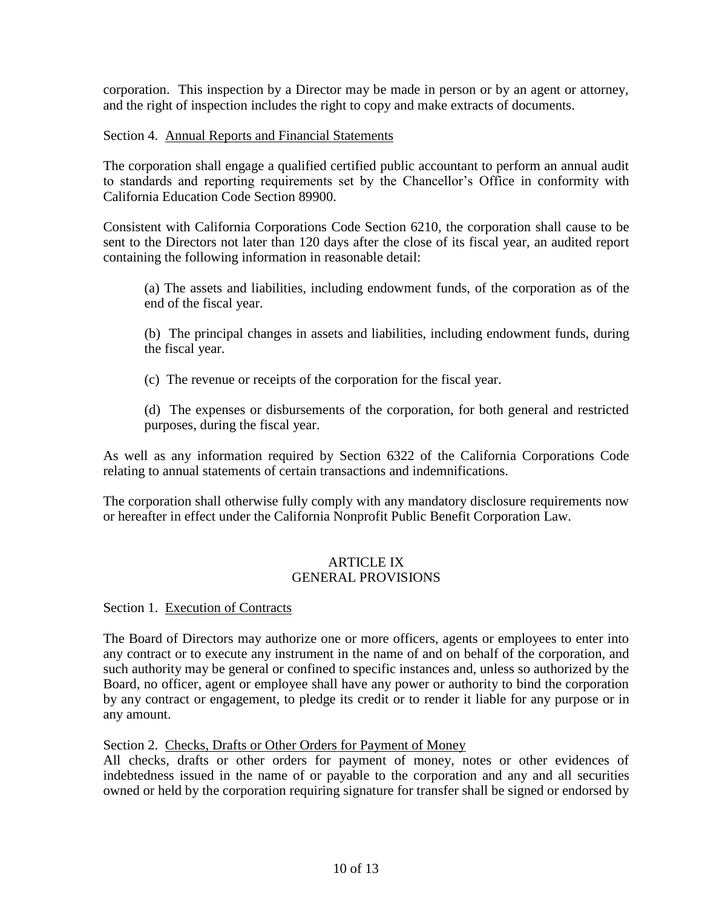corporation. This inspection by a Director may be made in person or by an agent or attorney, and the right of inspection includes the right to copy and make extracts of documents.

## Section 4. Annual Reports and Financial Statements

The corporation shall engage a qualified certified public accountant to perform an annual audit to standards and reporting requirements set by the Chancellor's Office in conformity with California Education Code Section 89900.

Consistent with California Corporations Code Section 6210, the corporation shall cause to be sent to the Directors not later than 120 days after the close of its fiscal year, an audited report containing the following information in reasonable detail:

(a) The assets and liabilities, including endowment funds, of the corporation as of the end of the fiscal year.

(b) The principal changes in assets and liabilities, including endowment funds, during the fiscal year.

(c) The revenue or receipts of the corporation for the fiscal year.

(d) The expenses or disbursements of the corporation, for both general and restricted purposes, during the fiscal year.

As well as any information required by Section 6322 of the California Corporations Code relating to annual statements of certain transactions and indemnifications.

The corporation shall otherwise fully comply with any mandatory disclosure requirements now or hereafter in effect under the California Nonprofit Public Benefit Corporation Law.

## ARTICLE IX GENERAL PROVISIONS

Section 1. Execution of Contracts

The Board of Directors may authorize one or more officers, agents or employees to enter into any contract or to execute any instrument in the name of and on behalf of the corporation, and such authority may be general or confined to specific instances and, unless so authorized by the Board, no officer, agent or employee shall have any power or authority to bind the corporation by any contract or engagement, to pledge its credit or to render it liable for any purpose or in any amount.

Section 2. Checks, Drafts or Other Orders for Payment of Money

All checks, drafts or other orders for payment of money, notes or other evidences of indebtedness issued in the name of or payable to the corporation and any and all securities owned or held by the corporation requiring signature for transfer shall be signed or endorsed by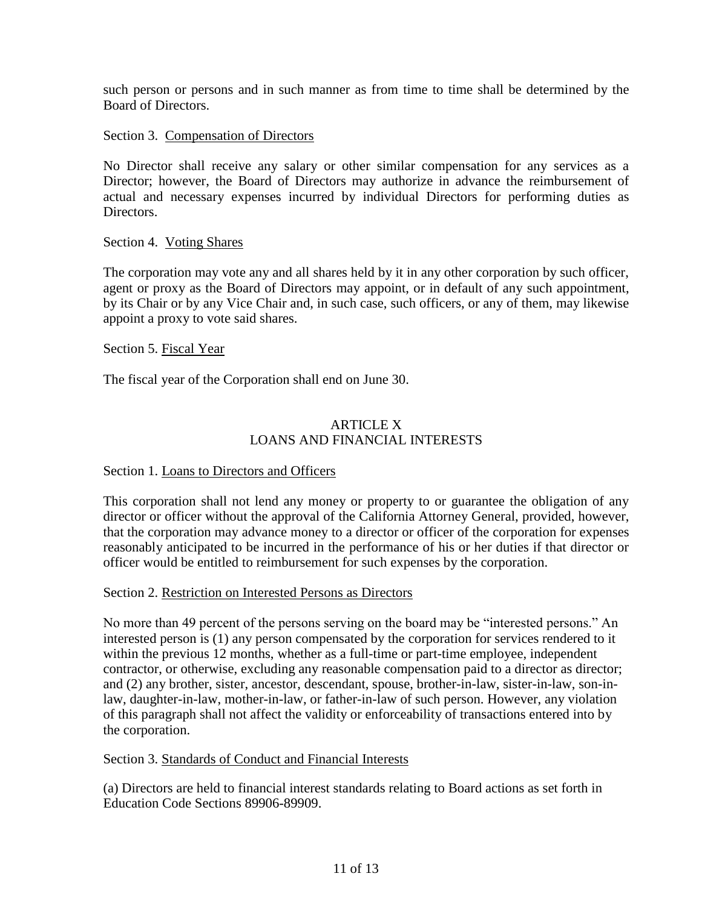such person or persons and in such manner as from time to time shall be determined by the Board of Directors.

## Section 3. Compensation of Directors

No Director shall receive any salary or other similar compensation for any services as a Director; however, the Board of Directors may authorize in advance the reimbursement of actual and necessary expenses incurred by individual Directors for performing duties as Directors.

## Section 4. Voting Shares

The corporation may vote any and all shares held by it in any other corporation by such officer, agent or proxy as the Board of Directors may appoint, or in default of any such appointment, by its Chair or by any Vice Chair and, in such case, such officers, or any of them, may likewise appoint a proxy to vote said shares.

## Section 5. Fiscal Year

The fiscal year of the Corporation shall end on June 30.

## ARTICLE X LOANS AND FINANCIAL INTERESTS

## Section 1. Loans to Directors and Officers

This corporation shall not lend any money or property to or guarantee the obligation of any director or officer without the approval of the California Attorney General, provided, however, that the corporation may advance money to a director or officer of the corporation for expenses reasonably anticipated to be incurred in the performance of his or her duties if that director or officer would be entitled to reimbursement for such expenses by the corporation.

## Section 2. Restriction on Interested Persons as Directors

No more than 49 percent of the persons serving on the board may be "interested persons." An interested person is (1) any person compensated by the corporation for services rendered to it within the previous 12 months, whether as a full-time or part-time employee, independent contractor, or otherwise, excluding any reasonable compensation paid to a director as director; and (2) any brother, sister, ancestor, descendant, spouse, brother-in-law, sister-in-law, son-inlaw, daughter-in-law, mother-in-law, or father-in-law of such person. However, any violation of this paragraph shall not affect the validity or enforceability of transactions entered into by the corporation.

## Section 3. Standards of Conduct and Financial Interests

(a) Directors are held to financial interest standards relating to Board actions as set forth in Education Code Sections 89906-89909.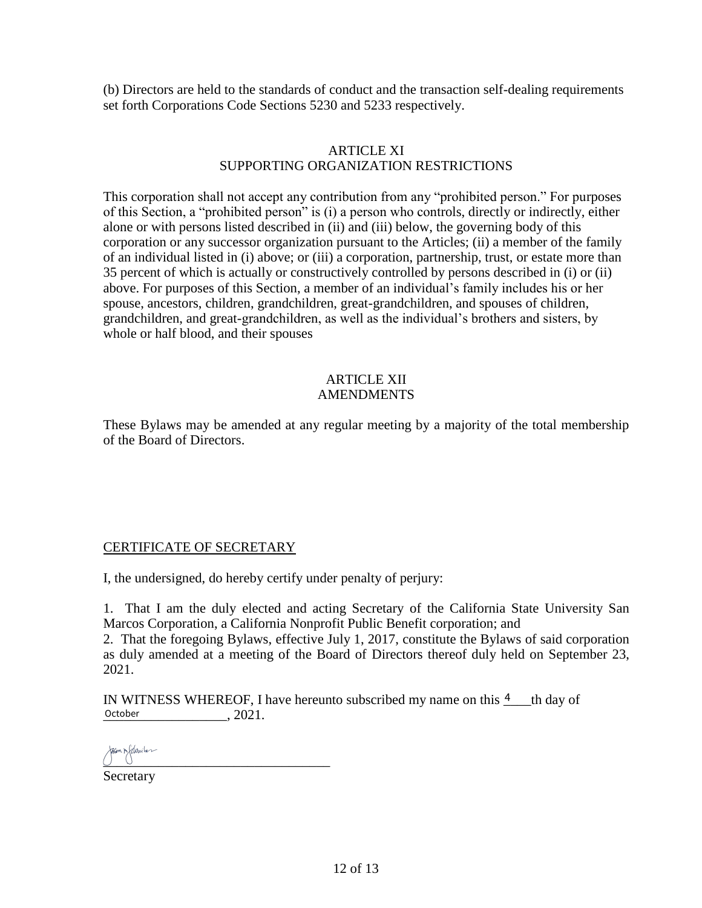(b) Directors are held to the standards of conduct and the transaction self-dealing requirements set forth Corporations Code Sections 5230 and 5233 respectively.

## ARTICLE XI SUPPORTING ORGANIZATION RESTRICTIONS

This corporation shall not accept any contribution from any "prohibited person." For purposes of this Section, a "prohibited person" is (i) a person who controls, directly or indirectly, either alone or with persons listed described in (ii) and (iii) below, the governing body of this corporation or any successor organization pursuant to the Articles; (ii) a member of the family of an individual listed in (i) above; or (iii) a corporation, partnership, trust, or estate more than 35 percent of which is actually or constructively controlled by persons described in (i) or (ii) above. For purposes of this Section, a member of an individual's family includes his or her spouse, ancestors, children, grandchildren, great-grandchildren, and spouses of children, grandchildren, and great-grandchildren, as well as the individual's brothers and sisters, by whole or half blood, and their spouses

#### **ARTICLE XII** AMENDMENTS

These Bylaws may be amended at any regular meeting by a majority of the total membership of the Board of Directors.

# CERTIFICATE OF SECRETARY

I, the undersigned, do hereby certify under penalty of perjury:

1. That I am the duly elected and acting Secretary of the California State University San Marcos Corporation, a California Nonprofit Public Benefit corporation; and

2. That the foregoing Bylaws, effective July 1, 2017, constitute the Bylaws of said corporation as duly amended at a meeting of the Board of Directors thereof duly held on September 23, 2021.

IN WITNESS WHEREOF, I have hereunto subscribed my name on this  $\frac{4}{1}$  th day of October 2021.

 $\frac{1}{\sqrt{2}}$ 

Secretary